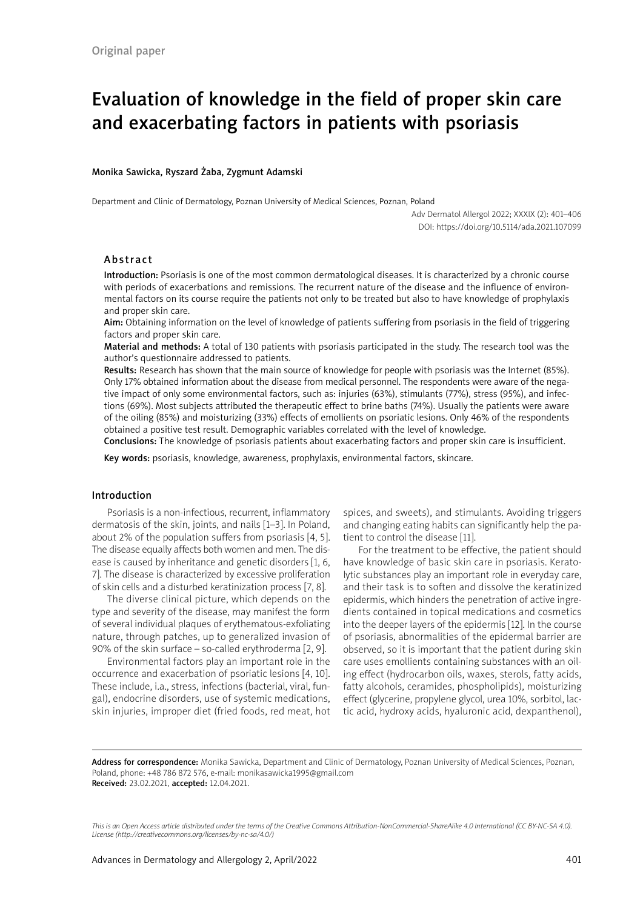# Evaluation of knowledge in the field of proper skin care and exacerbating factors in patients with psoriasis

### Monika Sawicka, Ryszard Żaba, Zygmunt Adamski

Department and Clinic of Dermatology, Poznan University of Medical Sciences, Poznan, Poland

Adv Dermatol Allergol 2022; XXXIX (2): 401–406 DOI: https://doi.org/10.5114/ada.2021.107099

## Abstract

Introduction: Psoriasis is one of the most common dermatological diseases. It is characterized by a chronic course with periods of exacerbations and remissions. The recurrent nature of the disease and the influence of environmental factors on its course require the patients not only to be treated but also to have knowledge of prophylaxis and proper skin care.

Aim: Obtaining information on the level of knowledge of patients suffering from psoriasis in the field of triggering factors and proper skin care.

Material and methods: A total of 130 patients with psoriasis participated in the study. The research tool was the author's questionnaire addressed to patients.

Results: Research has shown that the main source of knowledge for people with psoriasis was the Internet (85%). Only 17% obtained information about the disease from medical personnel. The respondents were aware of the negative impact of only some environmental factors, such as: injuries (63%), stimulants (77%), stress (95%), and infections (69%). Most subjects attributed the therapeutic effect to brine baths (74%). Usually the patients were aware of the oiling (85%) and moisturizing (33%) effects of emollients on psoriatic lesions. Only 46% of the respondents obtained a positive test result. Demographic variables correlated with the level of knowledge.

Conclusions: The knowledge of psoriasis patients about exacerbating factors and proper skin care is insufficient.

Key words: psoriasis, knowledge, awareness, prophylaxis, environmental factors, skincare.

## Introduction

Psoriasis is a non-infectious, recurrent, inflammatory dermatosis of the skin, joints, and nails [1–3]. In Poland, about 2% of the population suffers from psoriasis [4, 5]. The disease equally affects both women and men. The disease is caused by inheritance and genetic disorders [1, 6, 7]. The disease is characterized by excessive proliferation of skin cells and a disturbed keratinization process [7, 8].

The diverse clinical picture, which depends on the type and severity of the disease, may manifest the form of several individual plaques of erythematous-exfoliating nature, through patches, up to generalized invasion of 90% of the skin surface – so-called erythroderma [2, 9].

Environmental factors play an important role in the occurrence and exacerbation of psoriatic lesions [4, 10]. These include, i.a., stress, infections (bacterial, viral, fungal), endocrine disorders, use of systemic medications, skin injuries, improper diet (fried foods, red meat, hot spices, and sweets), and stimulants. Avoiding triggers and changing eating habits can significantly help the patient to control the disease [11].

For the treatment to be effective, the patient should have knowledge of basic skin care in psoriasis. Keratolytic substances play an important role in everyday care, and their task is to soften and dissolve the keratinized epidermis, which hinders the penetration of active ingredients contained in topical medications and cosmetics into the deeper layers of the epidermis [12]. In the course of psoriasis, abnormalities of the epidermal barrier are observed, so it is important that the patient during skin care uses emollients containing substances with an oiling effect (hydrocarbon oils, waxes, sterols, fatty acids, fatty alcohols, ceramides, phospholipids), moisturizing effect (glycerine, propylene glycol, urea 10%, sorbitol, lactic acid, hydroxy acids, hyaluronic acid, dexpanthenol),

Address for correspondence: Monika Sawicka, Department and Clinic of Dermatology, Poznan University of Medical Sciences, Poznan, Poland, phone: +48 786 872 576, e-mail: monikasawicka1995@gmail.com Received: 23.02.2021, accepted: 12.04.2021.

*This is an Open Access article distributed under the terms of the Creative Commons Attribution-NonCommercial-ShareAlike 4.0 International (CC BY-NC-SA 4.0). License (http://creativecommons.org/licenses/by-nc-sa/4.0/)*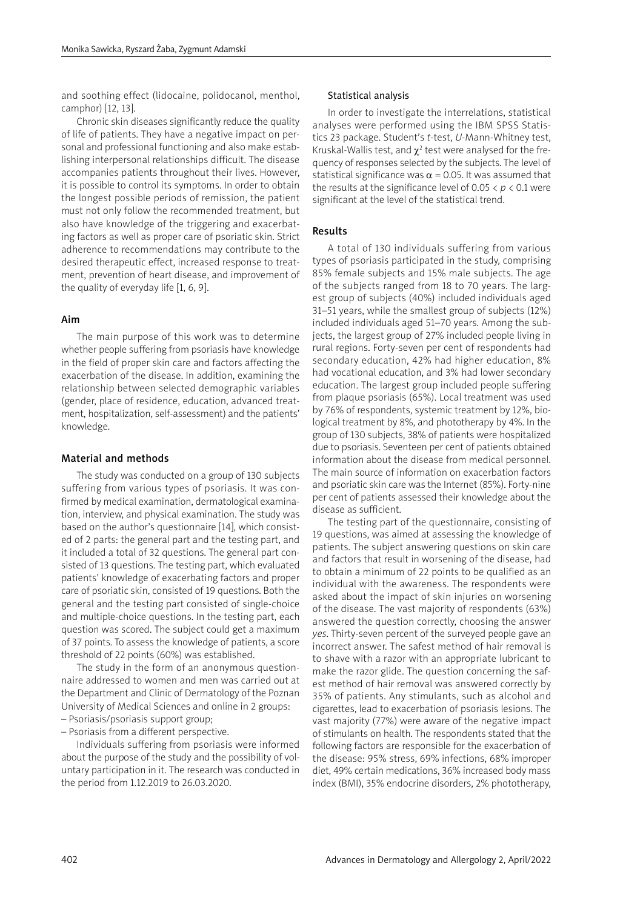and soothing effect (lidocaine, polidocanol, menthol, camphor) [12, 13].

Chronic skin diseases significantly reduce the quality of life of patients. They have a negative impact on personal and professional functioning and also make establishing interpersonal relationships difficult. The disease accompanies patients throughout their lives. However, it is possible to control its symptoms. In order to obtain the longest possible periods of remission, the patient must not only follow the recommended treatment, but also have knowledge of the triggering and exacerbating factors as well as proper care of psoriatic skin. Strict adherence to recommendations may contribute to the desired therapeutic effect, increased response to treatment, prevention of heart disease, and improvement of the quality of everyday life [1, 6, 9].

## Aim

The main purpose of this work was to determine whether people suffering from psoriasis have knowledge in the field of proper skin care and factors affecting the exacerbation of the disease. In addition, examining the relationship between selected demographic variables (gender, place of residence, education, advanced treatment, hospitalization, self-assessment) and the patients' knowledge.

## Material and methods

The study was conducted on a group of 130 subjects suffering from various types of psoriasis. It was confirmed by medical examination, dermatological examination, interview, and physical examination. The study was based on the author's questionnaire [14], which consisted of 2 parts: the general part and the testing part, and it included a total of 32 questions. The general part consisted of 13 questions. The testing part, which evaluated patients' knowledge of exacerbating factors and proper care of psoriatic skin, consisted of 19 questions. Both the general and the testing part consisted of single-choice and multiple-choice questions. In the testing part, each question was scored. The subject could get a maximum of 37 points. To assess the knowledge of patients, a score threshold of 22 points (60%) was established.

The study in the form of an anonymous questionnaire addressed to women and men was carried out at the Department and Clinic of Dermatology of the Poznan University of Medical Sciences and online in 2 groups: – Psoriasis/psoriasis support group;

– Psoriasis from a different perspective.

Individuals suffering from psoriasis were informed about the purpose of the study and the possibility of voluntary participation in it. The research was conducted in the period from 1.12.2019 to 26.03.2020.

#### Statistical analysis

In order to investigate the interrelations, statistical analyses were performed using the IBM SPSS Statistics 23 package. Student's *t*-test, *U*-Mann-Whitney test, Kruskal-Wallis test, and  $\chi^2$  test were analysed for the frequency of responses selected by the subjects. The level of statistical significance was  $\alpha$  = 0.05. It was assumed that the results at the significance level of  $0.05 < p < 0.1$  were significant at the level of the statistical trend.

# Results

A total of 130 individuals suffering from various types of psoriasis participated in the study, comprising 85% female subjects and 15% male subjects. The age of the subjects ranged from 18 to 70 years. The largest group of subjects (40%) included individuals aged 31–51 years, while the smallest group of subjects (12%) included individuals aged 51–70 years. Among the subjects, the largest group of 27% included people living in rural regions. Forty-seven per cent of respondents had secondary education, 42% had higher education, 8% had vocational education, and 3% had lower secondary education. The largest group included people suffering from plaque psoriasis (65%). Local treatment was used by 76% of respondents, systemic treatment by 12%, biological treatment by 8%, and phototherapy by 4%. In the group of 130 subjects, 38% of patients were hospitalized due to psoriasis. Seventeen per cent of patients obtained information about the disease from medical personnel. The main source of information on exacerbation factors and psoriatic skin care was the Internet (85%). Forty-nine per cent of patients assessed their knowledge about the disease as sufficient.

The testing part of the questionnaire, consisting of 19 questions, was aimed at assessing the knowledge of patients. The subject answering questions on skin care and factors that result in worsening of the disease, had to obtain a minimum of 22 points to be qualified as an individual with the awareness. The respondents were asked about the impact of skin injuries on worsening of the disease. The vast majority of respondents (63%) answered the question correctly, choosing the answer *yes*. Thirty-seven percent of the surveyed people gave an incorrect answer. The safest method of hair removal is to shave with a razor with an appropriate lubricant to make the razor glide. The question concerning the safest method of hair removal was answered correctly by 35% of patients. Any stimulants, such as alcohol and cigarettes, lead to exacerbation of psoriasis lesions. The vast majority (77%) were aware of the negative impact of stimulants on health. The respondents stated that the following factors are responsible for the exacerbation of the disease: 95% stress, 69% infections, 68% improper diet, 49% certain medications, 36% increased body mass index (BMI), 35% endocrine disorders, 2% phototherapy,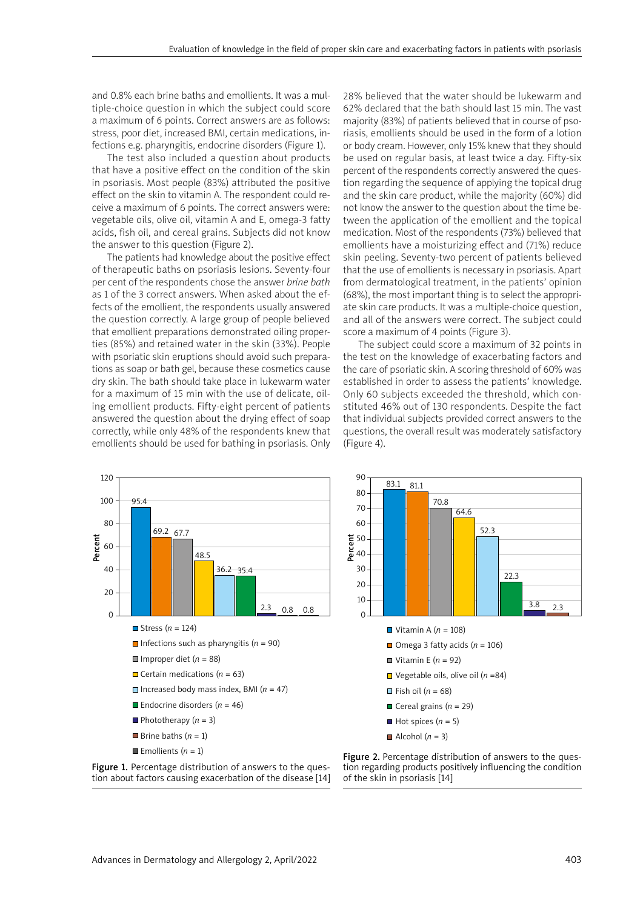and 0.8% each brine baths and emollients. It was a multiple-choice question in which the subject could score a maximum of 6 points. Correct answers are as follows: stress, poor diet, increased BMI, certain medications, infections e.g. pharyngitis, endocrine disorders (Figure 1).

The test also included a question about products that have a positive effect on the condition of the skin in psoriasis. Most people (83%) attributed the positive effect on the skin to vitamin A. The respondent could receive a maximum of 6 points. The correct answers were: vegetable oils, olive oil, vitamin A and E, omega-3 fatty acids, fish oil, and cereal grains. Subjects did not know the answer to this question (Figure 2).

The patients had knowledge about the positive effect of therapeutic baths on psoriasis lesions. Seventy-four per cent of the respondents chose the answer *brine bath* as 1 of the 3 correct answers. When asked about the effects of the emollient, the respondents usually answered the question correctly. A large group of people believed that emollient preparations demonstrated oiling properties (85%) and retained water in the skin (33%). People with psoriatic skin eruptions should avoid such preparations as soap or bath gel, because these cosmetics cause dry skin. The bath should take place in lukewarm water for a maximum of 15 min with the use of delicate, oiling emollient products. Fifty-eight percent of patients answered the question about the drying effect of soap correctly, while only 48% of the respondents knew that emollients should be used for bathing in psoriasis. Only 28% believed that the water should be lukewarm and 62% declared that the bath should last 15 min. The vast majority (83%) of patients believed that in course of psoriasis, emollients should be used in the form of a lotion or body cream. However, only 15% knew that they should be used on regular basis, at least twice a day. Fifty-six percent of the respondents correctly answered the question regarding the sequence of applying the topical drug and the skin care product, while the majority (60%) did not know the answer to the question about the time between the application of the emollient and the topical medication. Most of the respondents (73%) believed that emollients have a moisturizing effect and (71%) reduce skin peeling. Seventy-two percent of patients believed that the use of emollients is necessary in psoriasis. Apart from dermatological treatment, in the patients' opinion (68%), the most important thing is to select the appropriate skin care products. It was a multiple-choice question, and all of the answers were correct. The subject could score a maximum of 4 points (Figure 3).

The subject could score a maximum of 32 points in the test on the knowledge of exacerbating factors and the care of psoriatic skin. A scoring threshold of 60% was established in order to assess the patients' knowledge. Only 60 subjects exceeded the threshold, which constituted 46% out of 130 respondents. Despite the fact that individual subjects provided correct answers to the questions, the overall result was moderately satisfactory (Figure 4).





Figure 2. Percentage distribution of answers to the question regarding products positively influencing the condition of the skin in psoriasis [14]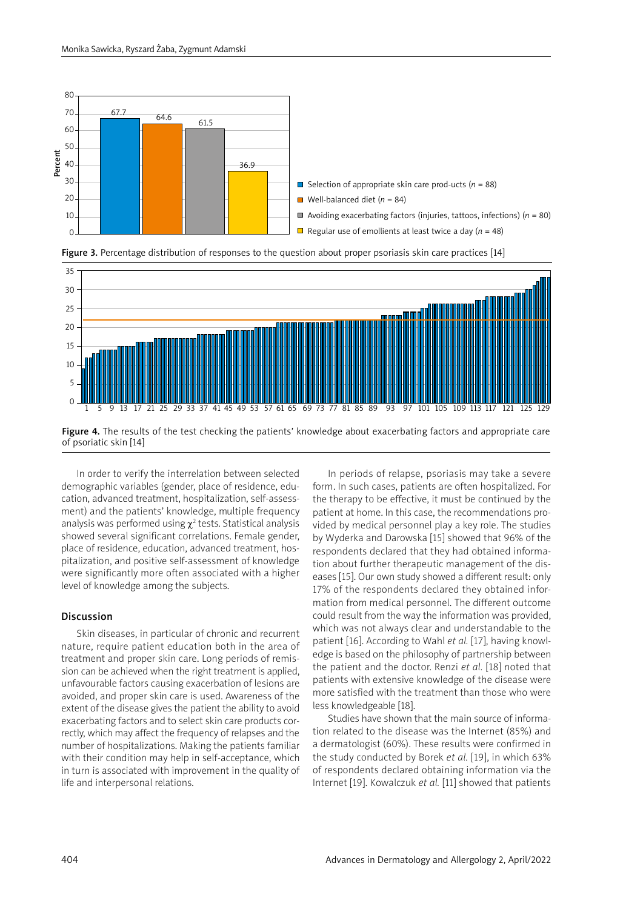





Figure 4. The results of the test checking the patients' knowledge about exacerbating factors and appropriate care of psoriatic skin [14]

In order to verify the interrelation between selected demographic variables (gender, place of residence, education, advanced treatment, hospitalization, self-assessment) and the patients' knowledge, multiple frequency analysis was performed using  $\chi^2$  tests. Statistical analysis showed several significant correlations. Female gender, place of residence, education, advanced treatment, hospitalization, and positive self-assessment of knowledge were significantly more often associated with a higher level of knowledge among the subjects.

## Discussion

Skin diseases, in particular of chronic and recurrent nature, require patient education both in the area of treatment and proper skin care. Long periods of remission can be achieved when the right treatment is applied, unfavourable factors causing exacerbation of lesions are avoided, and proper skin care is used. Awareness of the extent of the disease gives the patient the ability to avoid exacerbating factors and to select skin care products correctly, which may affect the frequency of relapses and the number of hospitalizations. Making the patients familiar with their condition may help in self-acceptance, which in turn is associated with improvement in the quality of life and interpersonal relations.

In periods of relapse, psoriasis may take a severe form. In such cases, patients are often hospitalized. For the therapy to be effective, it must be continued by the patient at home. In this case, the recommendations provided by medical personnel play a key role. The studies by Wyderka and Darowska [15] showed that 96% of the respondents declared that they had obtained information about further therapeutic management of the diseases [15]. Our own study showed a different result: only 17% of the respondents declared they obtained information from medical personnel. The different outcome could result from the way the information was provided, which was not always clear and understandable to the patient [16]. According to Wahl *et al.* [17], having knowledge is based on the philosophy of partnership between the patient and the doctor. Renzi *et al.* [18] noted that patients with extensive knowledge of the disease were more satisfied with the treatment than those who were less knowledgeable [18].

Studies have shown that the main source of information related to the disease was the Internet (85%) and a dermatologist (60%). These results were confirmed in the study conducted by Borek *et al.* [19], in which 63% of respondents declared obtaining information via the Internet [19]. Kowalczuk *et al.* [11] showed that patients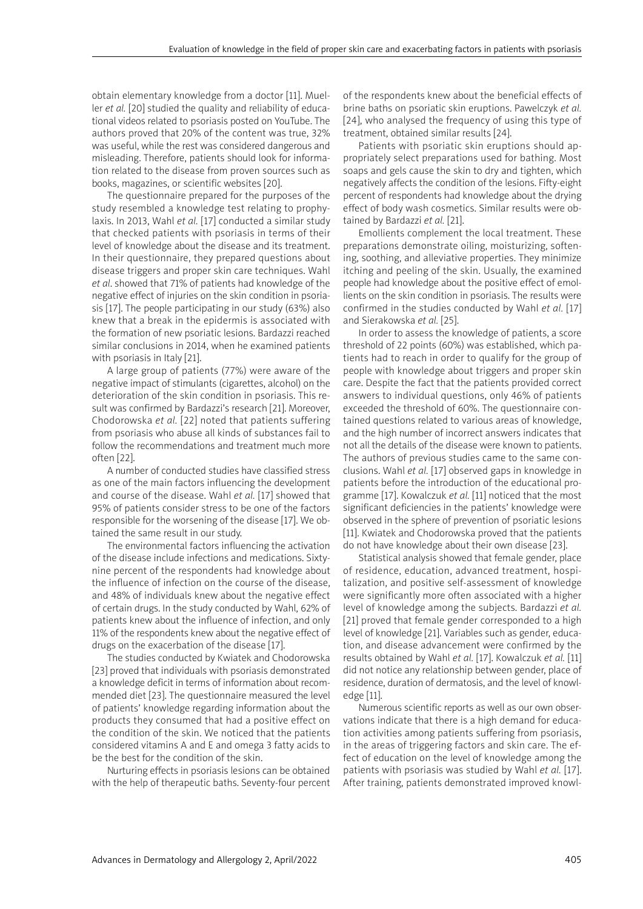obtain elementary knowledge from a doctor [11]. Mueller *et al.* [20] studied the quality and reliability of educational videos related to psoriasis posted on YouTube. The authors proved that 20% of the content was true, 32% was useful, while the rest was considered dangerous and misleading. Therefore, patients should look for information related to the disease from proven sources such as books, magazines, or scientific websites [20].

The questionnaire prepared for the purposes of the study resembled a knowledge test relating to prophylaxis. In 2013, Wahl *et al.* [17] conducted a similar study that checked patients with psoriasis in terms of their level of knowledge about the disease and its treatment. In their questionnaire, they prepared questions about disease triggers and proper skin care techniques. Wahl *et al*. showed that 71% of patients had knowledge of the negative effect of injuries on the skin condition in psoriasis [17]. The people participating in our study (63%) also knew that a break in the epidermis is associated with the formation of new psoriatic lesions. Bardazzi reached similar conclusions in 2014, when he examined patients with psoriasis in Italy [21].

A large group of patients (77%) were aware of the negative impact of stimulants (cigarettes, alcohol) on the deterioration of the skin condition in psoriasis. This result was confirmed by Bardazzi's research [21]. Moreover, Chodorowska *et al.* [22] noted that patients suffering from psoriasis who abuse all kinds of substances fail to follow the recommendations and treatment much more often [22].

A number of conducted studies have classified stress as one of the main factors influencing the development and course of the disease. Wahl *et al.* [17] showed that 95% of patients consider stress to be one of the factors responsible for the worsening of the disease [17]. We obtained the same result in our study.

The environmental factors influencing the activation of the disease include infections and medications. Sixtynine percent of the respondents had knowledge about the influence of infection on the course of the disease, and 48% of individuals knew about the negative effect of certain drugs. In the study conducted by Wahl, 62% of patients knew about the influence of infection, and only 11% of the respondents knew about the negative effect of drugs on the exacerbation of the disease [17].

The studies conducted by Kwiatek and Chodorowska [23] proved that individuals with psoriasis demonstrated a knowledge deficit in terms of information about recommended diet [23]. The questionnaire measured the level of patients' knowledge regarding information about the products they consumed that had a positive effect on the condition of the skin. We noticed that the patients considered vitamins A and E and omega 3 fatty acids to be the best for the condition of the skin.

Nurturing effects in psoriasis lesions can be obtained with the help of therapeutic baths. Seventy-four percent of the respondents knew about the beneficial effects of brine baths on psoriatic skin eruptions. Pawelczyk *et al.* [24], who analysed the frequency of using this type of treatment, obtained similar results [24].

Patients with psoriatic skin eruptions should appropriately select preparations used for bathing. Most soaps and gels cause the skin to dry and tighten, which negatively affects the condition of the lesions. Fifty-eight percent of respondents had knowledge about the drying effect of body wash cosmetics. Similar results were obtained by Bardazzi *et al.* [21].

Emollients complement the local treatment. These preparations demonstrate oiling, moisturizing, softening, soothing, and alleviative properties. They minimize itching and peeling of the skin. Usually, the examined people had knowledge about the positive effect of emollients on the skin condition in psoriasis. The results were confirmed in the studies conducted by Wahl *et al.* [17] and Sierakowska *et al.* [25].

In order to assess the knowledge of patients, a score threshold of 22 points (60%) was established, which patients had to reach in order to qualify for the group of people with knowledge about triggers and proper skin care. Despite the fact that the patients provided correct answers to individual questions, only 46% of patients exceeded the threshold of 60%. The questionnaire contained questions related to various areas of knowledge, and the high number of incorrect answers indicates that not all the details of the disease were known to patients. The authors of previous studies came to the same conclusions. Wahl *et al.* [17] observed gaps in knowledge in patients before the introduction of the educational programme [17]. Kowalczuk *et al.* [11] noticed that the most significant deficiencies in the patients' knowledge were observed in the sphere of prevention of psoriatic lesions [11]. Kwiatek and Chodorowska proved that the patients do not have knowledge about their own disease [23].

Statistical analysis showed that female gender, place of residence, education, advanced treatment, hospitalization, and positive self-assessment of knowledge were significantly more often associated with a higher level of knowledge among the subjects. Bardazzi *et al.* [21] proved that female gender corresponded to a high level of knowledge [21]. Variables such as gender, education, and disease advancement were confirmed by the results obtained by Wahl *et al.* [17]. Kowalczuk *et al.* [11] did not notice any relationship between gender, place of residence, duration of dermatosis, and the level of knowledge [11].

Numerous scientific reports as well as our own observations indicate that there is a high demand for education activities among patients suffering from psoriasis, in the areas of triggering factors and skin care. The effect of education on the level of knowledge among the patients with psoriasis was studied by Wahl *et al.* [17]. After training, patients demonstrated improved knowl-